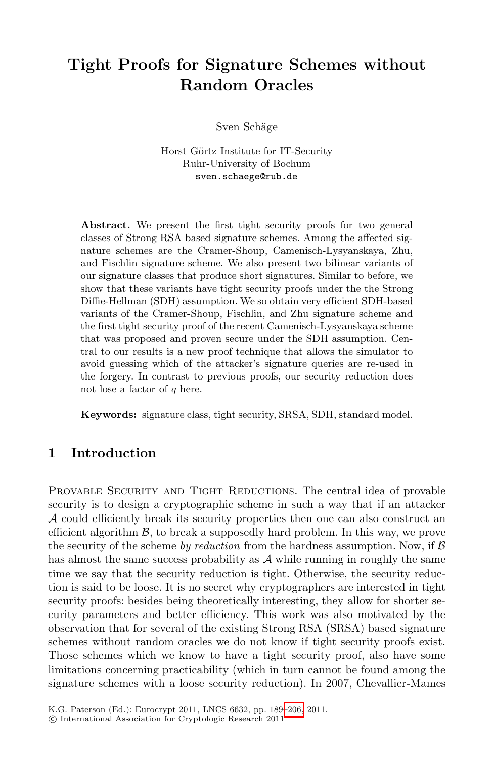# **Tight Proofs for Signature Schemes without Random Oracles**

Sven Schäge

Horst Görtz Institute for IT-Security Ruhr-University of Bochum sven.schaege@rub.de

Abstract. We present the first tight security proofs for two general classes of Strong RSA based signature schemes. Among the affected signature schemes are the Cramer-Shoup, Camenisch-Lysyanskaya, Zhu, and Fischlin signature scheme. We also present two bilinear variants of our signature classes that produce short signatures. Similar to before, we show that these variants have tight security proofs under the the Strong Diffie-Hellman (SDH) assumption. We so obtain very efficient SDH-based variants of the Cramer-Shoup, Fischlin, and Zhu signature scheme and the first tight security proof of the recent Camenisch-Lysyanskaya scheme that was proposed and proven secure under the SDH assumption. Central to our results is a new proof technique that allows the simulator to avoid guessing which of the attacker's signature queries are re-used in the forgery. In contrast to previous proofs, our security reduction does not lose a factor of  $q$  here.

**Keywords:** signature class, tight security, SRSA, SDH, standard model.

# **1 Introduction**

PROVABLE SECURITY AND TIGHT REDUCTIONS. The central idea of provable security is to design a cryptographic scheme in such a way that if an attacker A could efficiently break its security properties then one can also construct an efficient algorithm  $\beta$ , to break a supposedly hard problem. In this way, we prove the security of the scheme *by reduction* from the hardness assumption. Now, if B has almost the same success probability as  $A$  while running in roughly the same time we say that the security reduction is tight. Otherwise, the security reduction is said to be loose. It is no secret why cryptographers are interested in tight security proofs: besides bein[g the](#page-17-0)oretically interesting, they allow for shorter security parameters and better efficiency. This work was also motivated by the observation that for several of the existing Strong RSA (SRSA) based signature schemes without random oracles we do not know if tight security proofs exist. Those schemes which we know to have a tight security proof, also have some limitations concerning practicability (which in turn cannot be found among the signature schemes with a loose security reduction). In 2007, Chevallier-Mames

-c International Association for Cryptologic Research 2011

K.G. Paterson (Ed.): Eurocrypt 2011, LNCS 6632, pp. 189–206, 2011.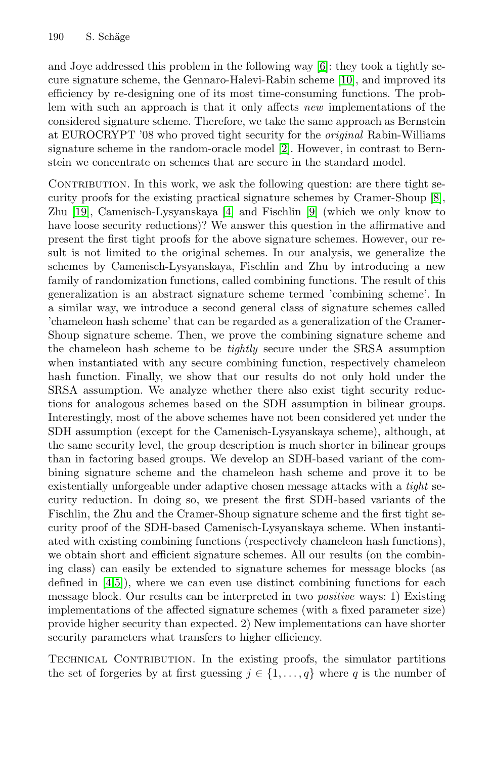and Joye addressed this problem in the following way [6]: they took a tightly secure signature scheme, the Gennaro-Halevi-Rabin scheme [10], and improved its efficiency by re-designing one of its most time-consuming [fu](#page-16-0)nctions. The problem with such [an](#page-16-1) approach is t[hat](#page-16-2) it only affects *new* implementations of the considered signature scheme. Therefore, we take the same approach as Bernstein at EUROCRYPT '08 who proved tight security for the *original* Rabin-Williams signature scheme in the random-oracle model [2]. However, in contrast to Bernstein we concentrate on schemes that are secure in the standard model.

CONTRIBUTION. In this work, we ask the following question: are there tight security proofs for the existing practical signature schemes by Cramer-Shoup [8], Zhu [19], Camenisch-Lysyanskaya [4] and Fischlin [9] (which we only know to have loose security reductions)? We answer this question in the affirmative and present the first tight proofs for the above signature schemes. However, our result is not limited to the original schemes. In our analysis, we generalize the schemes by Camenisch-Lysyanskaya, Fischlin and Zhu by introducing a new family of randomization functions, called combining functions. The result of this generalization is an abstract signature scheme termed 'combining scheme'. In a similar way, we introduce a second general class of signature schemes called 'chameleon hash scheme' that can be regarded as a generalization of the Cramer-Shoup signature scheme. Then, we prove the combining signature scheme and the chameleon hash scheme to be *tightly* secure under the SRSA assumption when instantiated with any secure combining function, respectively chameleon hash function. Finally, we show that our results do not only hold under the SRSA assumption. We analyze whether there also exist tight security reductions for analogous schemes based on the SDH assumption in bilinear groups. Interestingly, most of the above schemes have not been considered yet under the SDH assumption (except for the Camenisch-Lysyanskaya scheme), although, at the same security level, the group description is much shorter in bilinear groups than in factoring based groups. We develop an SDH-based variant of the combining signature scheme and the chameleon hash scheme and prove it to be existentially unforgeable under adaptive chosen message attacks with a *tight* security reduction. In doing so, we present the first SDH-based variants of the Fischlin, the Zhu and the Cramer-Shoup signature scheme and the first tight security proof of the SDH-based Camenisch-Lysyanskaya scheme. When instantiated with existing combining functions (respectively chameleon hash functions), we obtain short and efficient signature schemes. All our results (on the combining class) can easily be extended to signature schemes for message blocks (as defined in [4,5]), where we can even use distinct combining functions for each message block. Our results can be interpreted in two *positive* ways: 1) Existing implementations of the affected signature schemes (with a fixed parameter size) provide higher security than expected. 2) New implementations can have shorter security parameters what transfers to higher efficiency.

TECHNICAL CONTRIBUTION. In the existing proofs, the simulator partitions the set of forgeries by at first guessing  $j \in \{1, \ldots, q\}$  where q is the number of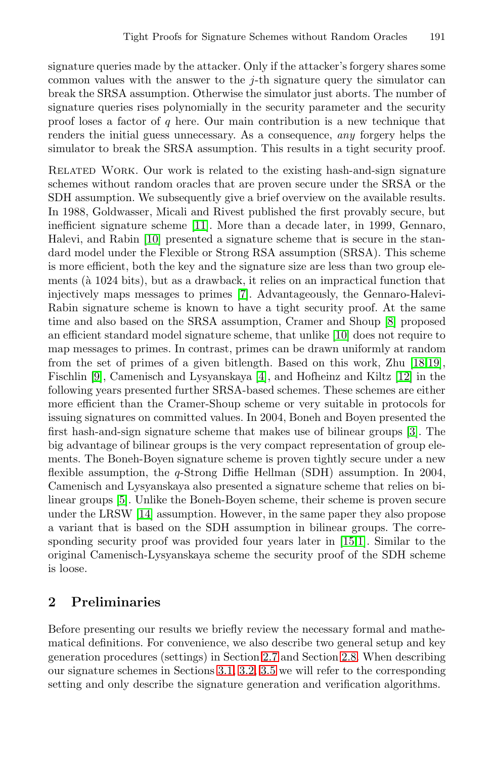signature queries made by the attacker. Only if the attacker's forgery shares some common values with the answer to the  $j$ -th signature query the simulator can break the SRSA assumption. Otherwise the simulator just aborts. The number of signature queries rises polynomially in the security parameter and the security proof lose[s a](#page-17-1) factor of  $q$  here. Our main contribution is a new technique that [rend](#page-16-3)ers the initial guess unnecessary. As a consequence, *any* forgery helps the simulator to break the SRSA assumption. This results in a tight security proof.

Related Work. Our work is related to the existing hash-and-sign signature schemes without r[and](#page-16-4)om oracles that are proven secure under the SRSA or the SDH assumption. We subsequently give a brief overview on the available results. In 1988, Goldwasser, Micali and Rivest publishe[d](#page-16-0) the first provably secure, but inefficient signature scheme [11]. Mor[e th](#page-16-3)an a decade later, in 1999, Gennaro, Halevi, and Rabin [10] presented a signature scheme that is secure in the standard model under the Flexible or Strong RSA assump[tio](#page-17-2)[n \(S](#page-17-3)RSA). This scheme is more efficient, both [the](#page-16-1) key and the signature siz[e a](#page-17-4)re less than two group elements ( $\hat{a}$  1024 bits), but as a drawback, it relies on an impractical function that injectively maps messages to primes [7]. Advantageously, the Gennaro-Halevi-Rabin signature scheme is known to have a tight security proof. At the same time and also based on the SRSA assumption, Cra[mer](#page-16-5) and Shoup [8] proposed an efficient standard model signature scheme, that unlike [10] does not require to map messages to primes. In contrast, primes can be drawn uniformly at random from the set of primes of a given bitlength. Based on this work, Zhu [18,19], Fischlin [9], Camenisch and Lysyanskaya [4], and Hofheinz and Kiltz [12] in the following years presented further SRSA-based schemes. These schemes are either [m](#page-17-5)ore efficient than the Cramer-Shoup scheme or very suitable in protocols for issuing signatures on committed values. In 2004, Boneh and Boyen presented the first hash-and-sign signature scheme th[at](#page-17-6) [ma](#page-16-6)kes use of bilinear groups [3]. The big advantage of bilinear groups is the very compact representation of group elements. The Boneh-Boyen signature scheme is proven tightly secure under a new flexible assumption, the q-Strong Diffie Hellman (SDH) assumption. In 2004, Camenisch and Lysyanskaya also presented a signature scheme that relies on bilinear groups [5]. Unlike the Boneh-Boyen scheme, their scheme is proven secure under the LRSW [14] assumption. However, in the same paper they also propose a variant that is based on the SDH assumption in bilinear groups. The corresponding security proof was provided four years later in [15,1]. Similar to the original Came[nisch](#page-7-1)[-Ly](#page-8-0)[s](#page-9-0)[yan](#page-6-0)skaya schem[e](#page-7-0) [th](#page-7-0)e security proof of the SDH scheme is loose.

# **2 Preliminaries**

Before presenting our results we briefly review the necessary formal and mathematical definitions. For convenience, we also describe two general setup and key generation procedures (settings) in Section 2.7 and Section 2.8. When describing our signature schemes in Sections 3.1, 3.2, 3.5 we will refer to the corresponding setting and only describe the signature generation and verification algorithms.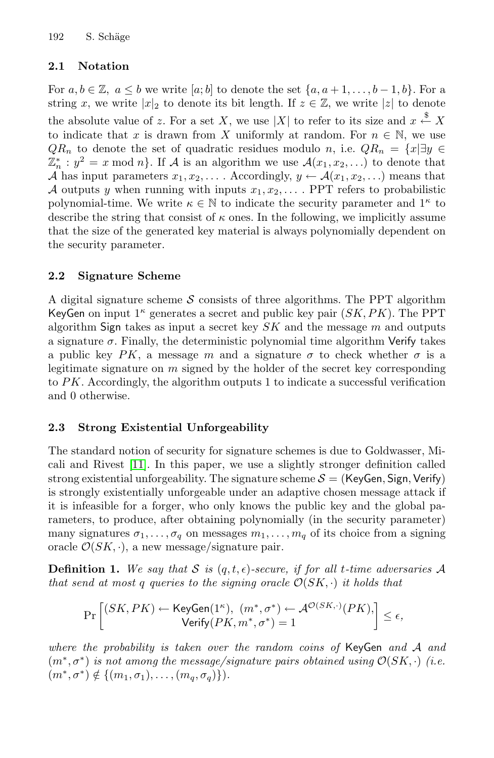#### **2.1 Notation**

For  $a, b \in \mathbb{Z}$ ,  $a \leq b$  we write  $[a, b]$  to denote the set  $\{a, a+1, \ldots, b-1, b\}$ . For a string x, we write  $|x|_2$  to denote its bit length. If  $z \in \mathbb{Z}$ , we write |z| to denote the absolute value of z. For a set X, we use |X| to refer to its size and  $x \stackrel{\$}{\leftarrow} X$ to indicate that x is drawn from X uniformly at random. For  $n \in \mathbb{N}$ , we use  $QR_n$  to denote the set of quadratic residues modulo n, i.e.  $QR_n = \{x | \exists y \in$  $\mathbb{Z}_n^* : y^2 = x \mod n$ . If A is an algorithm we use  $\mathcal{A}(x_1, x_2,...)$  to denote that A has input parameters  $x_1, x_2, \ldots$ . Accordingly,  $y \leftarrow \mathcal{A}(x_1, x_2, \ldots)$  means that A outputs y when running with inputs  $x_1, x_2, \ldots$ . PPT refers to probabilistic polynomial-time. We write  $\kappa \in \mathbb{N}$  to indicate the security parameter and  $1^{\kappa}$  to describe the string that consist of  $\kappa$  ones. In the following, we implicitly assume that the size of the generated key material is always polynomially dependent on the security parameter.

### **2.2 Signature Scheme**

A digital signature scheme  $S$  consists of three algorithms. The PPT algorithm KeyGen on input  $1^{\kappa}$  generates a secret and public key pair  $(SK, PK)$ . The PPT algorithm Sign takes as input a secret key  $SK$  and the message m and outputs a signature  $\sigma$ . Finally, the deterministic polynomial time algorithm Verify takes [a](#page-17-1) public key PK, a message m and a signature  $\sigma$  to check whether  $\sigma$  is a legitimate signature on  $m$  signed by the holder of the secret key corresponding to PK. Accordingly, the algorithm outputs 1 to indicate a successful verification and 0 otherwise.

# **2.3 Strong Existential Unforgeability**

The standard notion of security for signature schemes is due to Goldwasser, Micali and Rivest [11]. In this paper, we use a slightly stronger definition called strong existential unforgeability. The signature scheme  $S = (KeyGen, Sign, Verify)$ is strongly existentially unforgeable under an adaptive chosen message attack if it is infeasible for a forger, who only knows the public key and the global parameters, to produce, after obtaining polynomially (in the security parameter) many signatures  $\sigma_1, \ldots, \sigma_q$  on messages  $m_1, \ldots, m_q$  of its choice from a signing oracle  $\mathcal{O}(SK, \cdot)$ , a new message/signature pair.

**Definition 1.** We say that S is  $(q, t, \epsilon)$ -secure, if for all t-time adversaries A *that send at most* q queries to the signing oracle  $\mathcal{O}(SK, \cdot)$  *it holds that* 

$$
\Pr\left[\begin{matrix} (SK, PK) \leftarrow \mathsf{KeyGen}(1^\kappa), \ (m^*, \sigma^*) \leftarrow \mathcal{A}^{\mathcal{O}(SK, \cdot)}(PK),\\ \mathsf{Verify}(PK, m^*, \sigma^*) = 1 \end{matrix}\right] \leq \epsilon,
$$

*where the probability is taken over the random coins of* KeyGen *and* <sup>A</sup> *and*  $(m^*, \sigma^*)$  *is not among the message/signature pairs obtained using*  $\mathcal{O}(SK, \cdot)$  *(i.e.*)  $(m^*, \sigma^*) \notin \{(m_1, \sigma_1), \ldots, (m_a, \sigma_a)\}.$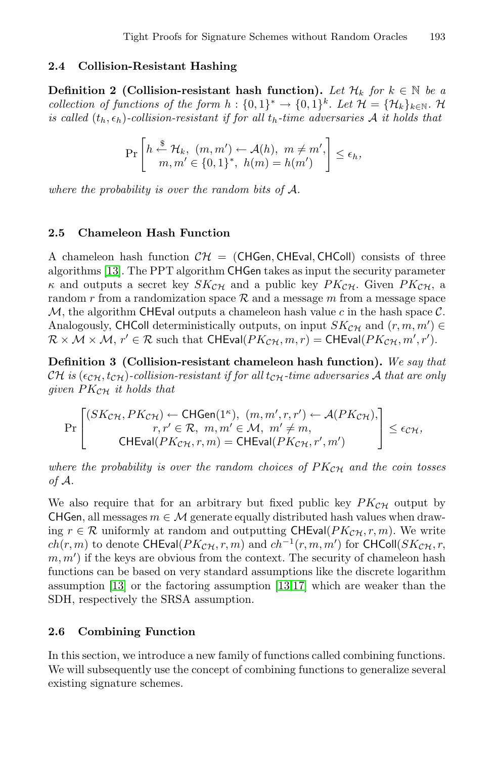#### **2.4 Collision-Resistant Hashing**

**Definition 2 (Collision-resistant hash function).** Let  $\mathcal{H}_k$  for  $k \in \mathbb{N}$  be a *collection of functions of the form*  $h : \{0,1\}^* \to \{0,1\}^k$ *. Let*  $\mathcal{H} = \{\mathcal{H}_k\}_{k \in \mathbb{N}}$ *.* H *is called*  $(t_h, \epsilon_h)$ -collision-resistant if for all  $t_h$ -time adversaries A *it holds that* 

$$
\Pr\left[h \stackrel{\$}{\leftarrow} \mathcal{H}_k, (m, m') \leftarrow \mathcal{A}(h), m \neq m', \atop m, m' \in \{0, 1\}^*, h(m) = h(m')\right] \le \epsilon_h,
$$

*where the probability is over the random bits of* A*.*

## **2.5 Chameleon Hash Function**

A chameleon hash function  $\mathcal{CH} = (CHGen, CHEval, CHColl)$  consists of three algorithms [13]. The PPT algorithm CHGen takes as input the security parameter  $\kappa$  and outputs a secret key  $SK_{\mathcal{CH}}$  and a public key  $PK_{\mathcal{CH}}$ . Given  $PK_{\mathcal{CH}}$ , a random r from a randomization space  $R$  and a message m from a message space M, the algorithm CHEval outputs a chameleon hash value c in the hash space  $\mathcal{C}$ . Analogously, CHColl deterministically outputs, on input  $SK_{\mathcal{CH}}$  and  $(r, m, m') \in \mathcal{R} \times M \times M$   $r' \in \mathcal{R}$  such that  $CHEval(PK_{\mathcal{CH}} \cdot m, r) = CHEval(PK_{\mathcal{CH}} \cdot m', r')$  $\mathcal{R} \times \mathcal{M} \times \mathcal{M}, r' \in \mathcal{R}$  such that  $\mathsf{CHEval}(PK_{\mathcal{CH}}, m, r) = \mathsf{CHEval}(PK_{\mathcal{CH}}, m', r').$ 

**Definition 3 (Collision-resistant chameleon hash function).** *We say that* CH is  $(\epsilon_{\mathcal{CH}}, t_{\mathcal{CH}})$ -collision-resistant if for all  $t_{\mathcal{CH}}$ -time adversaries A that are only *given* PKCH *it holds that*

$$
\Pr\begin{bmatrix}\n(SK_{\mathcal{CH}}, PK_{\mathcal{CH}}) \leftarrow \text{CHGen}(1^{\kappa}), (m, m', r, r') \leftarrow \mathcal{A}(PK_{\mathcal{CH}}), \\
r, r' \in \mathcal{R}, m, m' \in \mathcal{M}, m' \neq m, \\
\text{CHEval}(PK_{\mathcal{CH}}, r, m) = \text{CHEval}(PK_{\mathcal{CH}}, r', m')\n\end{bmatrix} \le \epsilon_{\mathcal{CH}},
$$

where the probability is over the random choices of  $PK_{CH}$  and the coin tosses *of* A*.*

We also require that for an arbitrary but fixed public key  $PK_{\mathcal{CH}}$  output by CHGen, all messages  $m \in \mathcal{M}$  generate equally distributed hash values when drawing  $r \in \mathcal{R}$  uniformly at random and outputting CHEval( $PK_{\mathcal{CH}}, r, m$ ). We write  $ch(r, m)$  to denote CHEval $(PK_{\mathcal{CH}}, r, m)$  and  $ch^{-1}(r, m, m')$  for CHColl( $SK_{\mathcal{CH}}, r, m$ ) if the keys are obvious from the context. The security of chameleon hash  $(m, m')$  if the keys are obvious from the context. The security of chameleon hash functions can be based on very standard assumptions like the discrete logarithm assumption [13] or the factoring assumption [13,17] which are weaker than the SDH, respectively the SRSA assumption.

### **2.6 Combining Function**

In this section, we introduce a new family of functions called combining functions. We will subsequently use the concept of combining functions to generalize several existing signature schemes.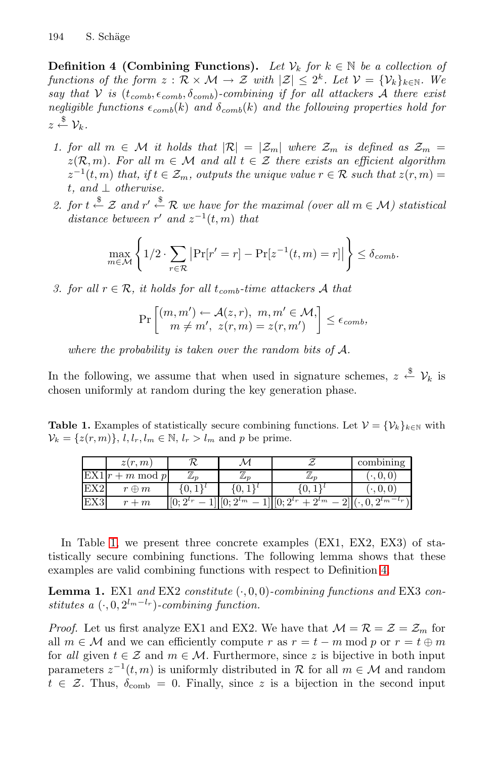**Definition 4 (Combining Functions).** *Let*  $V_k$  *for*  $k \in \mathbb{N}$  *be a collection of functions of the form*  $z : \mathcal{R} \times \mathcal{M} \to \mathcal{Z}$  *with*  $|\mathcal{Z}| \leq 2^k$ . Let  $\mathcal{V} = {\mathcal{V}_k}_{k \in \mathbb{N}}$ . We *say that*  $V$  *is*  $(t_{comb}, \epsilon_{comb}, \delta_{comb})$ *-combining if for all attackers*  $\hat{A}$  *there exist negligible functions*  $\epsilon_{comb}(k)$  *and*  $\delta_{comb}(k)$  *and the following properties hold for*  $z \stackrel{\$}{\leftarrow} \mathcal{V}_k.$ 

- *1. for all*  $m \in \mathcal{M}$  *it holds that*  $|\mathcal{R}| = |\mathcal{Z}_m|$  *where*  $\mathcal{Z}_m$  *is defined as*  $\mathcal{Z}_m$  =  $z(\mathcal{R}, m)$ *. For all*  $m \in \mathcal{M}$  and all  $t \in \mathcal{Z}$  there exists an efficient algorithm  $z^{-1}(t, m)$  *that, if*  $t \in \mathcal{Z}_m$ *, outputs the unique value*  $r \in \mathcal{R}$  *such that*  $z(r, m) =$ t*, and* ⊥ *otherwise.*
- 2. for  $t \stackrel{\$}{\leftarrow} \mathcal{Z}$  and  $r' \stackrel{\$}{\leftarrow} \mathcal{R}$  we have for the maximal (over all  $m \in \mathcal{M}$ ) statistical *distance between*  $r'$  *and*  $z^{-1}(t, m)$  *that*

$$
\max_{m \in \mathcal{M}} \left\{ 1/2 \cdot \sum_{r \in \mathcal{R}} \left| \Pr[r' = r] - \Pr[z^{-1}(t, m) = r] \right| \right\} \le \delta_{comb}.
$$

*3. for all*  $r \in \mathcal{R}$ *, it holds for all*  $t_{comb}$ *-time attackers* A *that* 

$$
\Pr\left[\begin{matrix} (m,m')\leftarrow \mathcal{A}(z,r),\ m,m'\in\mathcal{M},\\ m\neq m',\ z(r,m)=z(r,m') \end{matrix}\right]\leq \epsilon_{comb},
$$

*where the probability is taken over the random bits of* A*.*

In the following, we assume that when used in signature schemes,  $z \stackrel{\$}{\leftarrow} \mathcal{V}_k$  is chosen uniformly at random during the key generation phase.

**Table 1.** Examples of statistically secure combining functions. Let  $V = \{V_k\}_{k \in \mathbb{N}}$  with  $V_k = \{z(r, m)\}\,$ ,  $l, l_r, l_m \in \mathbb{N}\,$ ,  $l_r > l_m$  and p be prime.

|     | z(r, m)               |                |                           |                                    | combining            |
|-----|-----------------------|----------------|---------------------------|------------------------------------|----------------------|
| EX1 | $+m \mod p$<br>$\sim$ | $\n  m\n$      | $\n  m\n$                 | $\mu_{n}$                          | 0, 0<br>٠            |
| EX2 | $r \oplus m$          |                | U,                        | ιU,                                | , 0, 0               |
| EX3 | $+m$                  | $[0; 2^{l_r}]$ | $\left[0, 2^{l_m}\right]$ | $\sqrt{0}$ ; $2^{l_r}$<br>$2^{l}m$ | $2^{\ell}m^{-\ell}r$ |

In Table 1, we present three concrete examples (EX1, EX2, EX3) of statistically secure combining functions. The following lemma shows that these examples are valid combining functions with respect to Definition 4.

**Lemma 1.** EX1 *and* EX2 *constitute* (·, 0, 0)*-combining functions and* EX3 *constitutes a*  $(·, 0, 2^{l_m-l_r})$ *-combining function.* 

*Proof.* Let us first analyze EX1 and EX2. We have that  $\mathcal{M} = \mathcal{R} = \mathcal{Z} = \mathcal{Z}_m$  for all  $m \in \mathcal{M}$  and we can efficiently compute r as  $r = t - m \mod p$  or  $r = t \oplus m$ for *all* given  $t \in \mathcal{Z}$  and  $m \in \mathcal{M}$ . Furthermore, since z is bijective in both input parameters  $z^{-1}(t, m)$  is uniformly distributed in R for all  $m \in \mathcal{M}$  and random  $t \in \mathcal{Z}$ . Thus,  $\delta_{\text{comb}} = 0$ . Finally, since z is a bijection in the second input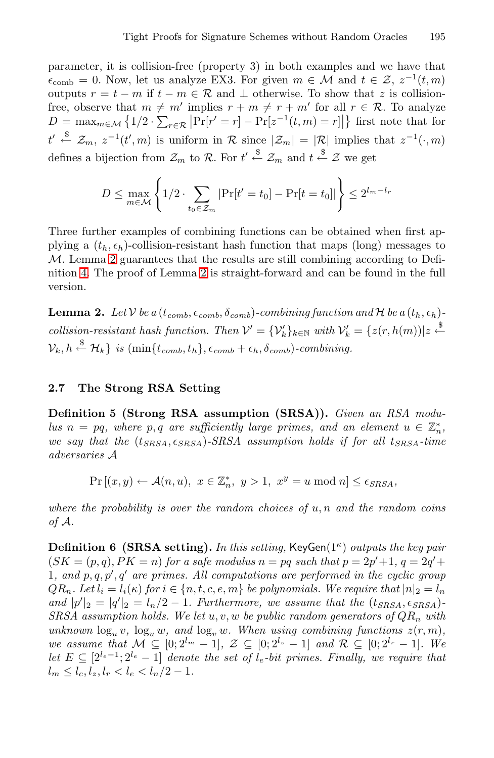parameter, it is collision-free (property 3) in both examples and we have that  $\epsilon_{\rm comb} = 0$ . Now, let us analyze EX3. For given  $m \in \mathcal{M}$  and  $t \in \mathcal{Z}, z^{-1}(t,m)$ outputs  $r = t - m$  if  $t - m \in \mathcal{R}$  and  $\perp$  otherwise. To show that z is collisionfree, observe that  $m \neq m'$  implies  $r + m \neq r + m'$  for all  $r \in \mathcal{R}$ . To analyze  $D = \max_{m \in \mathcal{M}} \left\{ 1/2 \cdot \sum_{r \in \mathcal{R}} \left| \Pr[r' = r] - \Pr[z^{-1}(t, m) = r] \right| \right\}$  first note that for  $t' \stackrel{\$}{\leftarrow} \mathcal{Z}_m$ ,  $z^{-1}(t', m)$  is uniform in  $\mathcal{R}$  since  $|\mathcal{Z}_m| = |\mathcal{R}|$  implies that  $z^{-1}(\cdot, m)$ defines a bi[je](#page-6-1)ction from  $\mathcal{Z}_m$  to R. For  $t' \stackrel{\$}{\leftarrow} \mathcal{Z}_m$  and  $t \stackrel{\$}{\leftarrow} \mathcal{Z}$  we get

$$
D \le \max_{m \in \mathcal{M}} \left\{ 1/2 \cdot \sum_{t_0 \in \mathcal{Z}_m} |\Pr[t' = t_0] - \Pr[t = t_0]| \right\} \le 2^{l_m - l_r}
$$

<span id="page-6-1"></span><span id="page-6-0"></span>Three further examples of combining functions can be obtained when first applying a  $(t_h, \epsilon_h)$ -collision-resistant hash function that maps (long) messages to M. Lemma 2 guarantees that the results are still combining according to Definition 4. The proof of Lemma 2 is straight-forward and can be found in the full version.

**Lemma 2.** Let V be a  $(t_{comb}, \epsilon_{comb}, \delta_{comb})$ -combining function and H be a  $(t_h, \epsilon_h)$ *collision-resistant hash function. Then*  $V' = \{V'_k\}_{k \in \mathbb{N}}$  *with*  $V'_k = \{z(r, h(m)) | z \stackrel{\$}{\leftarrow}$  $\mathcal{V}_k, h \stackrel{\$}{\leftarrow} \mathcal{H}_k \} \ \textit{is} \ \text{(min} \{t_{comb}, t_h\}, \epsilon_{comb} + \epsilon_h, \delta_{comb})\textit{-combining}.$ 

## **2.7 The Strong RSA Setting**

**Definition 5 (Strong RSA assumption (SRSA)).** *Given an RSA modulus*  $n = pq$ , where p, q are sufficiently large primes, and an element  $u \in \mathbb{Z}_n^*$ , *we say that the*  $(t_{SRSA}, \epsilon_{SRSA})$ -*SRSA* assumption holds if for all  $t_{SRSA}$ -time *adversaries* A

$$
\Pr\left[(x,y)\leftarrow \mathcal{A}(n,u),\ x\in\mathbb{Z}_n^*,\ y>1,\ x^y=u \ \text{mod}\ n\right]\leq \epsilon_{SRSA},
$$

*where the probability is over the random choices of* u, n *and the random coins of* A*.*

**Definition 6 (SRSA setting).** *In this setting,* KeyGen(1<sup>κ</sup>) *outputs the key pair*  $(SK = (p,q), PK = n)$  *for a safe modulus*  $n = pq$  *such that*  $p = 2p' + 1$ ,  $q = 2q' +$ 1, and  $p, q, p', q'$  are primes. All computations are performed in the cyclic group  $QR_n$ *. Let*  $l_i = l_i(\kappa)$  *for*  $i \in \{n, t, c, e, m\}$  *be polynomials. We require that*  $|n|_2 = l_n$ *and*  $|p'|_2 = |q'|_2 = l_n/2 - 1$ . Furthermore, we assume that the  $(t_{SRSA}, \epsilon_{SRSA})$  $SRSA$  assumption holds. We let  $u, v, w$  be public random generators of  $QR_n$  with *unknown*  $\log_u v$ ,  $\log_u w$ *, and*  $\log_v w$ *. When using combining functions*  $z(r, m)$ *, we assume that*  $M \subseteq [0; 2^{l_m} - 1]$ ,  $\mathcal{Z} \subseteq [0; 2^{l_z} - 1]$  *and*  $\mathcal{R} \subseteq [0; 2^{l_r} - 1]$ *. We let*  $E ⊂ [2^{l_e-1}; 2^{l_e} - 1]$  *denote the set of*  $l_e$ -*bit primes. Finally, we require that*  $l_m \leq l_c, l_z, l_r \leq l_e \leq l_n/2 - 1.$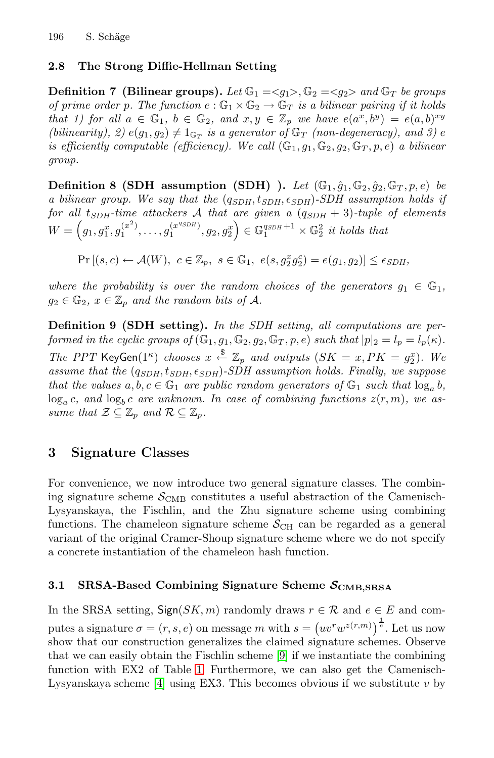## <span id="page-7-0"></span>**2.8 The Strong Diffie-Hellman Setting**

**Definition 7 (Bilinear groups).** Let  $\mathbb{G}_1 = \langle g_1 \rangle$ ,  $\mathbb{G}_2 = \langle g_2 \rangle$  and  $\mathbb{G}_T$  be groups *of prime order p. The function*  $e : \mathbb{G}_1 \times \mathbb{G}_2 \to \mathbb{G}_T$  *is a bilinear pairing if it holds that 1) for all*  $a \in \mathbb{G}_1$ ,  $b \in \mathbb{G}_2$ , and  $x, y \in \mathbb{Z}_p$  we have  $e(a^x, b^y) = e(a, b)^{xy}$ *(bilinearity), 2)*  $e(g_1, g_2) \neq 1_{\mathbb{G}_T}$  *is a generator of*  $\mathbb{G}_T$  *(non-degeneracy), and 3)* e *is efficiently computable (efficiency). We call*  $(\mathbb{G}_1, g_1, \mathbb{G}_2, g_2, \mathbb{G}_T, p, e)$  *a bilinear group.*

**Definition 8 (SDH assumption (SDH) ).** *Let*  $(\mathbb{G}_1, \hat{g}_1, \mathbb{G}_2, \hat{g}_2, \mathbb{G}_T, p, e)$  *be a bilinear group. We say that the*  $(q_{SDH}, t_{SDH}, \epsilon_{SDH})$ -*SDH assumption holds if for all* t*SDH-time attackers* A *that are given a* (q*SDH* + 3)*-tuple of elements*  $W = \left(g_1, g_1^x, g_1^{(x^2)}, \ldots, g_1^{(x^{qSDH})}, g_2, g_2^x\right) \in \mathbb{G}_1^{q_{SDH}+1} \times \mathbb{G}_2^2$  *it holds that* 

 $Pr[(s, c) \leftarrow \mathcal{A}(W), \ c \in \mathbb{Z}_p, \ s \in \mathbb{G}_1, \ e(s, g_2^x g_2^c) = e(g_1, g_2)] \le \epsilon_{SDH}$ 

*where the probability is over the random choices of the generators*  $g_1 \in \mathbb{G}_1$ ,  $g_2 \in \mathbb{G}_2$ ,  $x \in \mathbb{Z}_p$  and the random bits of A.

**Definition 9 (SDH setting).** *In the SDH setting, all computations are performed in the cyclic groups of*  $(\mathbb{G}_1, g_1, \mathbb{G}_2, g_2, \mathbb{G}_T, p, e)$  *such that*  $|p|_2 = l_p = l_p(\kappa)$ *. The PPT* KeyGen(1<sup>k</sup>) *chooses*  $x \stackrel{\$}{\leftarrow} \mathbb{Z}_p$  *and outputs*  $(SK = x, PK = g_x^x)$ *. We*<br>*assume that the (gapy tapy 60px)-SDH assumption holds. Finally, we suppose assume that the* (q*SDH*, t*SDH*, *SDH*)*-SDH assumption holds. Finally, we suppose that the values*  $a, b, c \in \mathbb{G}_1$  *are public random generators of*  $\mathbb{G}_1$  *such that*  $\log_a b$ *,*  $\log_a c$ , and  $\log_b c$  are unknown. In case of combining functions  $z(r, m)$ , we as*sume that*  $\mathcal{Z} \subseteq \mathbb{Z}_p$  *and*  $\mathcal{R} \subseteq \mathbb{Z}_p$ *.* 

# <span id="page-7-1"></span>**3 Signature Classes**

For convenience, we now introduce two general signature classes. The combining signature scheme  $\mathcal{S}_{\text{CMB}}$  constitutes a useful abstraction of the Camenisch-Lysyanskaya, the Fischlin, and the Zhu signature scheme using combining functions. The chameleon signature scheme  $S_{\text{CH}}$  can be regarded as a general variant of the original Cramer-Shoup signature scheme where we do not specify a concrete instantiation of [th](#page-16-2)e chameleon hash function.

## **3.[1](#page-16-1) SRSA-Based Combining Signature Scheme** *S***CMB***,***SRSA**

In the SRSA setting,  $\text{Sign}(SK, m)$  randomly draws  $r \in \mathcal{R}$  and  $e \in E$  and computes a signature  $\sigma = (r, s, e)$  on message m with  $s = (uv^r w^{z(r,m)})^{\frac{1}{e}}$ . Let us now show that our construction generalizes the claimed signature schemes. Observe that we can easily obtain the Fischlin scheme [9] if we instantiate the combining function with EX2 of Table 1. Furthermore, we can also get the Camenisch-Lysyanskaya scheme [4] using EX3. This becomes obvious if we substitute  $v$  by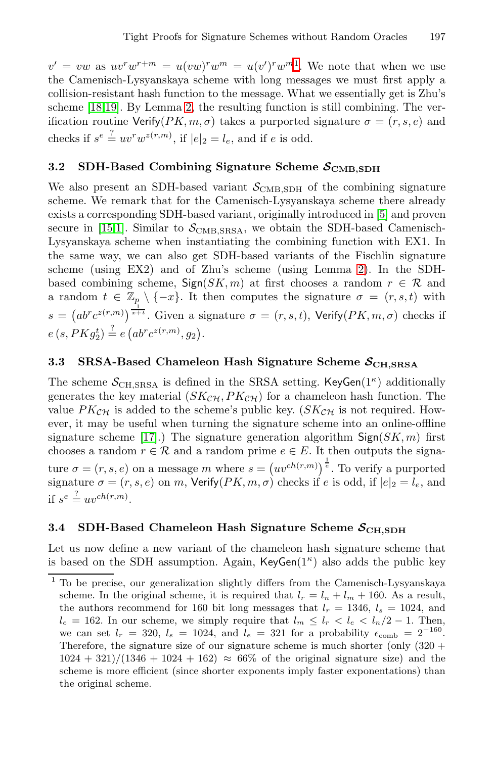<span id="page-8-0"></span> $v' = vw$  as  $uv^rw^{r+m} = u(vw)^rw^m = u(v')^rw^{m}$ . We note that when we use the Camenisch-Lysyanskaya scheme with long messages we must first apply a collision-resistant hash function to the message. What we essentially get is Zhu's scheme [18,19]. By Lemma 2, the resulting fun[cti](#page-16-7)on is still combining. The verification routine Verify( $PK, m, \sigma$ ) takes a purported signature  $\sigma = (r, s, e)$  and checks if  $s^e \stackrel{?}{=} uv^r w^{z(r,m)}$ , if  $|e|_2 = l_e$ , and if e is odd.

# **3.2 SDH-Based Combining Signatu[re](#page-6-1) Scheme**  $S_{\text{CMB,SDH}}$

We also present an SDH-based variant  $S_{\text{CMB,SDH}}$  of the combining signature scheme. We remark that for the Camenisch-Lysyanskaya scheme there already exists a corresponding SDH-based variant, originally introduced in [5] and proven secure in [15,1]. Similar to  $S_{\text{CMB,SRSA}}$ , we obtain the SDH-based Camenisch-Lysyanskaya scheme when instantiating the combining function with EX1. In the same way, we can also get SDH-based variants of the Fischlin signature scheme (using EX2) and of Zhu's scheme (using Lemma 2). In the SDHbased combining scheme,  $Sign(SK, m)$  at first chooses a random  $r \in \mathcal{R}$  and a random  $t \in \mathbb{Z}_p \setminus \{-x\}$ . It then computes the signature  $\sigma = (r, s, t)$  with  $s = (ab^r c^{z(r,m)})^{\frac{1}{x+t}}$ . Given a signature  $\sigma = (r, s, t)$ , Verify( $PK, m, \sigma$ ) checks if  $e(s, PKg_2^t) \stackrel{?}{=} e(a b^r c^{z(r,m)}, g_2).$  $e(s, PKg_2^t) \stackrel{?}{=} e(a b^r c^{z(r,m)}, g_2).$ 

# **3.3 SRSA-Based Chameleon Hash Signature Scheme** *S***CH***,***SRSA**

The scheme  $S_{\text{CH,SRSA}}$  is defined in the SRSA setting. KeyGen(1<sup> $\kappa$ </sup>) additionally generates the key material  $(SK_{\mathcal{CH}}, PK_{\mathcal{CH}})$  for a chameleon hash function. The value  $PK_{\mathcal{CH}}$  is added to the scheme's public key. ( $SK_{\mathcal{CH}}$  is not required. However, it may be useful when turning the signature scheme into an online-offline signature scheme [17].) The signature generation algorithm  $\textsf{Sign}(SK, m)$  first chooses a random  $r \in \mathcal{R}$  and a random prime  $e \in E$ . It then outputs the signature  $\sigma = (r, s, e)$  on a message m where  $s = (uv^{ch(r,m)})^{\frac{1}{e}}$ . To verify a purported signature  $\sigma = (r, s, e)$  on m, Verify $(PK, m, \sigma)$  checks if e is odd, if  $|e|_2 = l_e$ , and if  $s^e \stackrel{?}{=} uv^{ch(r,m)}$ .

## 3.4 SDH-Based Chameleon Hash Signature Scheme  $S_{\text{CH,SDH}}$

Let us now define a new variant of the chameleon hash signature scheme that is based on the SDH assumption. Again, KeyGen $(1^{\kappa})$  also adds the public key

 $^{\rm 1}$  To be precise, our generalization slightly differs from the Camenisch-Lysyanskaya scheme. In the original scheme, it is required that  $l_r = l_n + l_m + 160$ . As a result, the authors recommend for 160 bit long messages that  $l_r = 1346$ ,  $l_s = 1024$ , and  $l_e = 162$ . In our scheme, we simply require that  $l_m \leq l_r < l_e < l_n/2 - 1$ . Then, we can set  $l_r = 320$ ,  $l_s = 1024$ , and  $l_e = 321$  for a probability  $\epsilon_{\rm comb} = 2^{-160}$ . Therefore, the signature size of our signature scheme is much shorter (only  $(320 +$  $1024 + 321)/(1346 + 1024 + 162) \approx 66\%$  of the original signature size) and the scheme is more efficient (since shorter exponents imply faster exponentations) than the original scheme.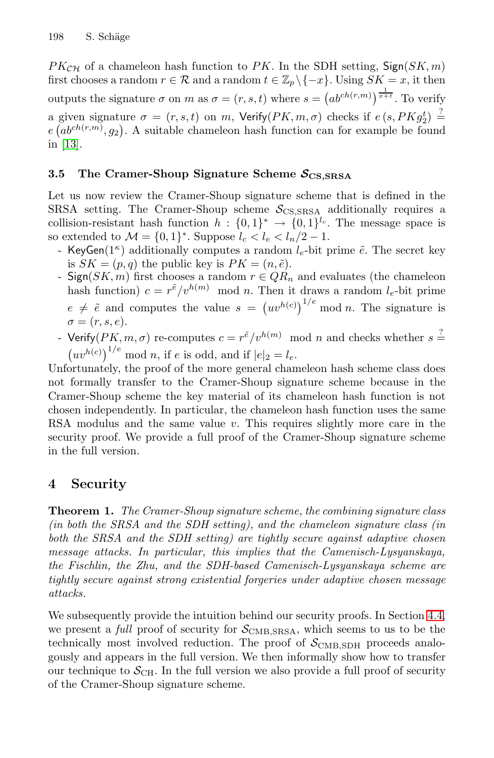<span id="page-9-0"></span> $PK_{\mathcal{CH}}$  of a chameleon hash function to PK. In the SDH setting,  $\mathsf{Sign}(SK, m)$ first chooses a random  $r \in \mathcal{R}$  and a random  $t \in \mathbb{Z}_p \backslash \{-x\}$ . Using  $SK = x$ , it then outputs the signature  $\sigma$  on m as  $\sigma = (r, s, t)$  where  $s = (ab^{ch(r,m)})^{\frac{1}{x+t}}$ . To verify a given signature  $\sigma = (r, s, t)$  on m, Verify $(PK, m, \sigma)$  checks if  $e(s, PKg_2^t) \stackrel{?}{=}$ <br> $e(ab^{ch(r,m)}, a_0)$ . A suitable chameleon hash function can for example be found  $e(a b^{ch(r,m)}, g_2)$ . A suitable chameleon hash function can for example be found in [13].

## **3.5 The Cramer-Shoup Signature Scheme** *S***CS***,***SRSA**

Let us now review the Cramer-Shoup signature scheme that is defined in the SRSA setting. The Cramer-Shoup scheme  $S_{\text{CS,SRSA}}$  additionally requires a collision-resistant hash function  $h : \{0,1\}^* \to \{0,1\}^{l_c}$ . The message space is so extended to  $\mathcal{M} = \{0, 1\}^*$ . Suppose  $l_c < l_e < l_n/2 - 1$ .

- KeyGen( $1^{\kappa}$ ) additionally computes a random  $l_e$ -bit prime  $\tilde{e}$ . The secret key is  $SK = (p, q)$  the public key is  $PK = (n, \tilde{e})$ .
- Sign( $SK, m$ ) first chooses a random  $r \in QR_n$  and evaluates (the chameleon hash function)  $c = r^{\tilde{e}}/v^{h(m)}$  mod n. Then it draws a random  $l_e$ -bit prime  $e \neq \tilde{e}$  and computes the value  $s = (uv^{h(c)})^{1/e} \mod n$ . The signature is  $\sigma = (r, s, e).$
- Verify $(PK, m, \sigma)$  re-computes  $c = r^{\tilde{e}}/v^{h(m)} \mod n$  and checks whether  $s =$  $(uv^{h(c)})^{1/e}$  mod n, if e is odd, and if  $|e|_2 = l_e$ .

<span id="page-9-2"></span><span id="page-9-1"></span>Unfortunately, the proof of the more general chameleon hash scheme class does not formally transfer to the Cramer-Shoup signature scheme because in the Cramer-Shoup scheme the key material of its chameleon hash function is not chosen independently. In particular, the chameleon hash function uses the same RSA modulus and the same value  $v$ . This requires slightly more care in the security proof. We provide a full proof of the Cramer-Shoup signature scheme in the full version.

# **4 Security**

**Theorem 1.** *The Cramer-Shoup signature scheme, the c[ombi](#page-12-0)ning signature class (in both the SRSA and the SDH setting), and the chameleon signature class (in both the SRSA and the SDH setting) are tightly secure against adaptive chosen message attacks. In particular, this implies that the Camenisch-Lysyanskaya, the Fischlin, the Zhu, and the SDH-based Camenisch-Lysyanskaya scheme are tightly secure against strong existential forgeries under adaptive chosen message attacks.*

We subsequently provide the intuition behind our security proofs. In Section 4.4, we present a *full* proof of security for  $S_{\text{CMB,SRSA}}$ , which seems to us to be the technically most involved reduction. The proof of  $S_{\text{CMB,SDH}}$  proceeds analogously and appears in the full version. We then informally show how to transfer our technique to  $S_{\text{CH}}$ . In the full version we also provide a full proof of security of the Cramer-Shoup signature scheme.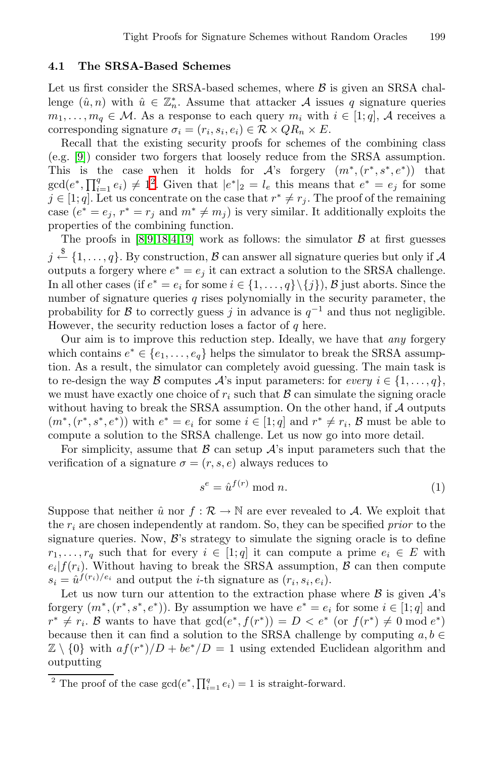## **[4.1](#page-10-0) The SRSA-Based Schemes**

Let us first consider the SRSA-based schemes, where  $\beta$  is given an SRSA challenge  $(\hat{u}, n)$  with  $\hat{u} \in \mathbb{Z}_n^*$ . Assume that attacker A issues q signature queries  $m_1,\ldots,m_q \in \mathcal{M}$ . As a response to each query  $m_i$  with  $i \in [1,q]$ , A receives a [co](#page-16-2)[rre](#page-17-2)[sp](#page-16-1)[ond](#page-17-3)ing signature  $\sigma_i = (r_i, s_i, e_i) \in \mathcal{R} \times QR_n \times E$ .

Recall that the existing security proofs for schemes of the combining class (e.g. [9]) consider two forgers that loosely reduce from the SRSA assumption. This is the case when it holds for  $\mathcal{A}$ 's forgery  $(m^*, (r^*, s^*, e^*))$  that  $gcd(e^*, \prod_{i=1}^q e_i) \neq 1^2$ . Given that  $|e^*|_2 = l_e$  this means that  $e^* = e_j$  for some  $j \in [1, q]$ . Let us concentrate on the case that  $r^* \neq r_j$ . The proof of the remaining case  $(e^* = e_j, r^* = r_j \text{ and } m^* \neq m_j)$  is very similar. It additionally exploits the properties of the combining function.

The proofs in [8,9,18,4,19] work as follows: the simulator  $\beta$  at first guesses  $j \stackrel{\$}{\leftarrow} \{1,\ldots,q\}.$  By construction,  ${\cal B}$  can answer all signature queries but only if  ${\cal A}$ outputs a forgery where  $e^* = e_i$  it can extract a solution to the SRSA challenge. In all other cases (if  $e^* = e_i$  for some  $i \in \{1, \ldots, q\} \setminus \{j\}$ ), B just aborts. Since the number of signature queries  $q$  rises polynomially in the security parameter, the probability for B to correctly guess j in advance is  $q^{-1}$  and thus not negligible. However, the security reduction loses a factor of  $q$  here.

Our aim is to improve this reduction step. Ideally, we have that *any* forgery which contains  $e^* \in \{e_1, \ldots, e_q\}$  helps the simulator to break the SRSA assumption. As a result, the simulator can completely avoid guessing. The main task is to re-design the way B computes  $\mathcal{A}$ 's input parameters: for *every*  $i \in \{1, \ldots, q\}$ , we must have exactly one choice of  $r_i$  such that  $\beta$  can simulate the signing oracle without having to break the SRSA assumption. On the other hand, if A outputs  $(m^*, (r^*, s^*, e^*))$  with  $e^* = e_i$  for some  $i \in [1; q]$  and  $r^* \neq r_i$ ,  $\mathcal{B}$  must be able to compute a solution to the SRSA challenge. Let us now go into more detail.

For simplicity, assume that  $\beta$  can setup  $\mathcal{A}$ 's input parameters such that the verification of a signature  $\sigma = (r, s, e)$  always reduces to

$$
s^e = \hat{u}^{f(r)} \bmod n. \tag{1}
$$

Suppose that neither  $\hat{u}$  nor  $f : \mathcal{R} \to \mathbb{N}$  are ever revealed to A. We exploit that the  $r_i$  are chosen independently at random. So, they can be specified *prior* to the signature queries. Now,  $\mathcal{B}$ 's strategy to simulate the signing oracle is to define  $r_1,\ldots,r_q$  such that for every  $i \in [1;q]$  it can compute a prime  $e_i \in E$  with  $e_i|f(r_i)$ . Without having to break the SRSA assumption,  $\beta$  can then compute  $s_i = \hat{u}^{f(r_i)/e_i}$  and output the *i*-th signature as  $(r_i, s_i, e_i)$ .

<span id="page-10-0"></span>Let us now turn our attention to the extraction phase where  $\beta$  is given  $\mathcal{A}$ 's forgery  $(m^*, (r^*, s^*, e^*))$ . By assumption we have  $e^* = e_i$  for some  $i \in [1; q]$  and  $r^* \neq r_i$ . B wants to have that  $gcd(e^*, f(r^*)) = D \lt e^*$  (or  $f(r^*) \neq 0 \mod e^*$ ) because then it can find a solution to the SRSA challenge by computing  $a, b \in$  $\mathbb{Z} \setminus \{0\}$  with  $af(r^*)/D + be^*/D = 1$  using extended Euclidean algorithm and outputting

<sup>&</sup>lt;sup>2</sup> The proof of the case  $gcd(e^*, \prod_{i=1}^q e_i) = 1$  is straight-forward.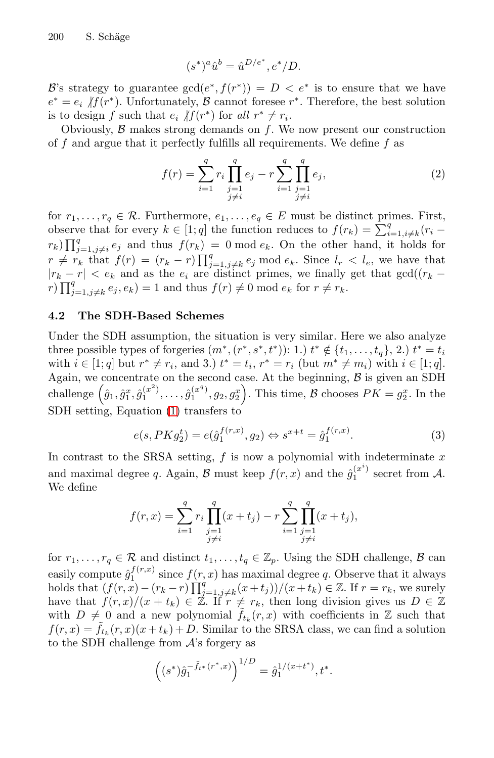$$
(s^*)^a \hat{u}^b = \hat{u}^{D/e^*}, e^*/D.
$$

B's strategy to guarantee  $gcd(e^*, f(r^*)) = D \langle e^* \rangle$  is to ensure that we have  $e^* = e_i$   $\|f(r^*)\|$ . Unfortunately,  $\beta$  cannot foresee r<sup>∗</sup>. Therefore, the best solution is to design f such that  $e_i$   $\|f(r^*)\|$  for all  $r^* \neq r_i$ .

Obviously,  $\beta$  makes strong demands on f. We now present our construction of f and argue that it perfectly fulfills all requirements. We define f as

$$
f(r) = \sum_{i=1}^{q} r_i \prod_{\substack{j=1 \ j \neq i}}^{q} e_j - r \sum_{i=1}^{q} \prod_{\substack{j=1 \ j \neq i}}^{q} e_j,
$$
 (2)

for  $r_1, \ldots, r_q \in \mathcal{R}$ . Furthermore,  $e_1, \ldots, e_q \in E$  must be distinct primes. First, observe that for every  $k \in [1; q]$  the function reduces to  $f(r_k) = \sum_{i=1, i\neq k}^{q} (r_i$  $r_k$ )  $\prod_{j=1,j\neq i}^q e_j$  and thus  $f(r_k) = 0 \mod e_k$ . On the other hand, it holds for  $r \neq r_k$  that  $f(r) = (r_k - r) \prod_{j=1, j \neq k}^q e_j \mod e_k$ . Since  $l_r < l_e$ , we have that  $|r_k - r| < e_k$  and as the  $e_i$  are distinct primes, we finally get that  $gcd((r_k - r_k)^q e_j)$  $r \prod_{j=1, j\neq k}^{q} e_j, e_k) = 1$  and thus  $f(r) \neq 0 \mod e_k$  for  $r \neq r_k$ .

## **4.2 The SDH-Based Schemes**

Under the SDH assumption, the situation is very similar. Here we also analyze three possible types of forgeries  $(m^*, (r^*, s^*, t^*))$ : 1.)  $t^* \notin \{t_1, \ldots, t_q\},$  2.)  $t^* = t_i$ with  $i \in [1; q]$  but  $r^* \neq r_i$ , and 3.)  $t^* = t_i$ ,  $r^* = r_i$  (but  $m^* \neq m_i$ ) with  $i \in [1; q]$ . Again, we concentrate on the second case. At the beginning,  $\beta$  is given an SDH challenge  $(\hat{g}_1, \hat{g}_1^x, \hat{g}_1^{(x^2)}, \dots, \hat{g}_1^{(x^q)}, g_2, g_2^x)$ . This time,  $\mathcal B$  chooses  $PK = g_2^x$ . In the SDH setting, Equation (1) transfers to

$$
e(s, PKg_2^t) = e(\hat{g}_1^{f(r,x)}, g_2) \Leftrightarrow s^{x+t} = \hat{g}_1^{f(r,x)}.
$$
\n(3)

In contrast to the SRSA setting,  $f$  is now a polynomial with indeterminate  $x$ and maximal degree q. Again,  $\mathcal B$  must keep  $f(r, x)$  and the  $\hat{g}_1^{(x^i)}$  secret from  $\mathcal A$ . We define

$$
f(r,x) = \sum_{i=1}^{q} r_i \prod_{\substack{j=1 \ j \neq i}}^{q} (x + t_j) - r \sum_{i=1}^{q} \prod_{\substack{j=1 \ j \neq i}}^{q} (x + t_j),
$$

for  $r_1,\ldots,r_q \in \mathcal{R}$  and distinct  $t_1,\ldots,t_q \in \mathbb{Z}_p$ . Using the SDH challenge,  $\beta$  can easily compute  $\hat{g}_1^{f(r,x)}$  since  $f(r,x)$  has maximal degree q. Observe that it always holds that  $(f(r, x) - (r_k - r) \prod_{j=1, j \neq k}^{q} (x + t_j))/(x + t_k) \in \mathbb{Z}$ . If  $r = r_k$ , we surely have that  $f(r, x)/(x + t_k) \in \mathbb{Z}$ . If  $r \neq r_k$ , then long division gives us  $D \in \mathbb{Z}$ with  $D \neq 0$  and a new polynomial  $\tilde{f}_{t_k}(r, x)$  with coefficients in Z such that  $f(r, x) = \tilde{f}_{t_k}(r, x)(x + t_k) + D$ . Similar to the SRSA class, we can find a solution to the SDH challenge from  $A$ 's forgery as

$$
\left( (s^*) \hat{g}_1^{-\tilde{f}_{t^*}(r^*,x)} \right)^{1/D} = \hat{g}_1^{1/(x+t^*)}, t^*.
$$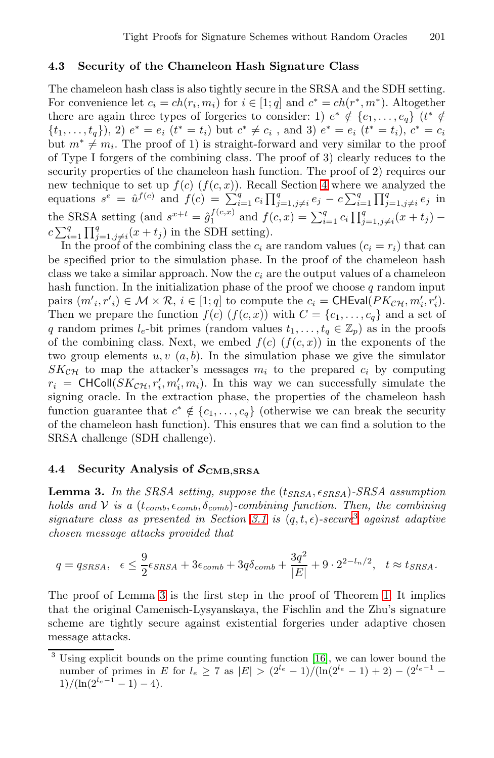## **4.3 Security of the Chameleon Hash Signature Class**

The chameleon hash class is also tig[htl](#page-9-1)y secure in the SRSA and the SDH setting. For convenience let  $c_i = ch(r_i, m_i)$  for  $i \in [1; q]$  and  $c^* = ch(r^*, m^*)$ . Altogether there are again three types of forgeries to consider: 1)  $e^* \notin \{e_1, \ldots, e_q\}$  ( $t^* \notin$  $\{t_1, \ldots, t_q\},$  2)  $e^* = e_i$   $(t^* = t_i)$  but  $c^* \neq c_i$ , and 3)  $e^* = e_i$   $(t^* = t_i)$ ,  $c^* = c_i$ but  $m^* \neq m_i$ . The proof of 1) is straight-forward and very similar to the proof of Type I forgers of the combining class. The proof of 3) clearly reduces to the security properties of the chameleon hash function. The proof of 2) requires our new technique to set up  $f(c)$   $(f(c, x))$ . Recall Section 4 where we analyzed the equations  $s^e = \hat{u}^{f(c)}$  and  $f(c) = \sum_{i=1}^q c_i \prod_{j=1, j\neq i}^q e_j - c \sum_{i=1}^q \prod_{j=1, j\neq i}^q e_j$  in the SRSA setting (and  $s^{x+t} = \hat{g}_1^{f(c,x)}$  and  $f(c,x) = \sum_{i=1}^q c_i \prod_{j=1, j\neq i}^q (x+t_j)$  $c \sum_{i=1}^q \prod_{j=1, j\neq i}^q (x+t_j)$  in the SDH setting).<br>In the proof of the combining class the  $c_i$  are random values  $(c_i = r_i)$  that can

<span id="page-12-0"></span>be specified prior to the simulation phase. In the proof of the chameleon hash class we take a similar approach. Now the  $c_i$  are the output values of a chameleon hash function. In the initialization phase of the proof we choose  $q$  random input pairs  $(m'_i, r'_i) \in \mathcal{M} \times \mathcal{R}$ ,  $i \in [1; q]$  to compute the  $c_i = \text{CHEval}(PK_{\mathcal{CH}}, m'_i, r'_i)$ .<br>Then we prepare the function  $f(c)$  ( $f(c, r)$ ) with  $C = \{c, c\}$  and a set of Then we prepare the function  $f(c)$   $(f(c, x))$  with  $C = \{c_1, \ldots, c_q\}$  and a set of q random primes  $l_e$ -bit primes (random values  $t_1, \ldots, t_q \in \mathbb{Z}_p$ ) as in the proofs of the combining class. Next, we embed  $f(c)$   $(f(c, x))$  in the exponents of the two group elements  $u, v \ (a, b)$ . In the simulation phase we give the simulator  $SK_{\mathcal{CH}}$  to map the attacker's messages  $m_i$  to the prepared  $c_i$  by computing  $r_i = \text{CHColl}(SK_{\mathcal{CH}}, r'_i, m'_i, m_i)$ . In this way we can successfully simulate the signing oracle. In the extraction phase, the properties of the chameleon hash signing oracle. In the extraction phase, the properties of the chameleon hash function guarantee t[hat](#page-7-1)  $c^* \notin \{c_1,\ldots,c_q\}$  [\(](#page-12-1)otherwise we can break the security of the chameleon hash function). This ensures that we can find a solution to the SRSA challenge (SDH challenge).

## <span id="page-12-2"></span>**4.4 Security Analysis of** *S***CMB***,***SRSA**

**Le[m](#page-12-2)ma 3.** *In the SRSA setting, suppose the* (t*[SR](#page-9-2)SA*, *SRSA*)*-SRSA assumption holds and*  $V$  *is a*  $(t_{comb}, \epsilon_{comb}, \delta_{comb})$ *-combining function. Then, the combining signature class as presented in Section 3.1 is*  $(q, t, \epsilon)$ -secure<sup>3</sup> *against adaptive chosen message attacks provided that*

$$
q = q_{SRSA}, \quad \epsilon \leq \frac{9}{2} \epsilon_{SRSA} + 3\epsilon_{comb} + 3q\delta_{comb} + \frac{3q^2}{|E|} + 9 \cdot 2^{2-l_n/2}, \quad t \approx t_{SRSA}.
$$

<span id="page-12-1"></span>The proof of Lemma 3 is the first step in the proof of Theorem 1. It implies that the original Camenisch-Lysyanskaya, the Fischlin and the Zhu's signature scheme are tightly secure against existential forgeries under adaptive chosen message attacks.

<sup>&</sup>lt;sup>3</sup> Using explicit bounds on the prime counting function [16], we can lower bound the number of primes in E for  $l_e \geq 7$  as  $|E| > (2^{l_e} - 1)/(ln(2^{l_e} - 1) + 2) - (2^{l_e-1} \frac{1}{(ln(2^{l_e}-1)}-1)-4$ .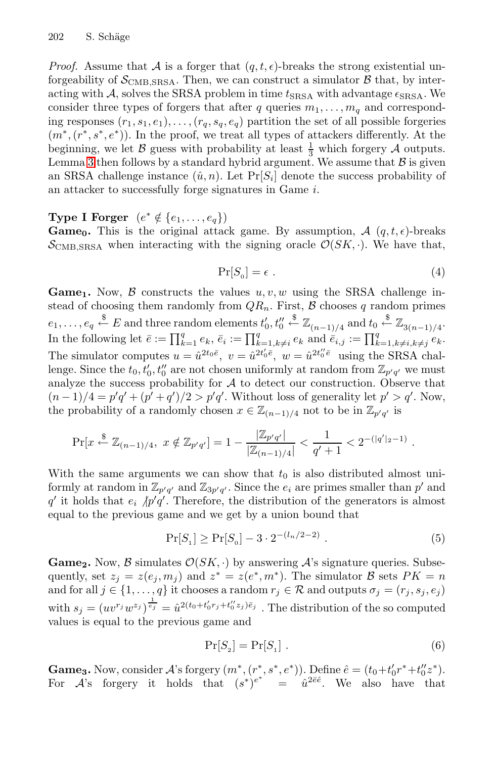*Proof.* Assume that A is a forger that  $(q, t, \epsilon)$ -breaks the strong existential unforgeability of  $S_{\text{CMB,SRSA}}$ . Then, we can construct a simulator  $\beta$  that, by interacting with A, solves the SRSA problem in time  $t_{\text{SRSA}}$  with advantage  $\epsilon_{\text{SRSA}}$ . We consider three types of forgers that after q queries  $m_1, \ldots, m_q$  and corresponding responses  $(r_1, s_1, e_1), \ldots, (r_q, s_q, e_q)$  partition the set of all possible forgeries  $(m^*, (r^*, s^*, e^*))$ . In the proof, we treat all types of attackers differently. At the beginning, we let  $\mathcal B$  guess with probability at least  $\frac{1}{3}$  which forgery  $\mathcal A$  outputs. Lemma 3 then follows by a standard hybrid argument. We assume that  $\beta$  is given an SRSA challenge instance  $(\hat{u}, n)$ . Let  $Pr[S_i]$  denote the success probability of an attacker to successfully forge signatures in Game i.

**Type I Forger**  $(e^* \notin \{e_1, \ldots, e_q\})$ 

**Game**<sub>0</sub>**.** This is the original attack game. By assumption,  $\mathcal{A}$  (q, t,  $\epsilon$ )-breaks  $\mathcal{S}_{\text{CMB,SRSA}}$  when interacting with the signing oracle  $\mathcal{O}(SK, \cdot)$ . We have that,

$$
\Pr[S_0] = \epsilon \tag{4}
$$

**Game**<sub>1</sub>**.** Now,  $\beta$  constructs the values  $u, v, w$  using the SRSA challenge instead of choosing them randomly from  $QR_n$ . First,  $\beta$  chooses q random primes  $e_1,\ldots,e_q \stackrel{\$}{\leftarrow} E \text{ and three random elements } t'_0,t''_0$  $\stackrel{\$}{\leftarrow} \mathbb{Z}_{(n-1)/4}$  and  $t_0 \stackrel{\$}{\leftarrow} \mathbb{Z}_{3(n-1)/4}.$ In the following let  $\bar{e} := \prod_{k=1}^q e_k$ ,  $\bar{e}_i := \prod_{k=1, k\neq i}^q e_k$  and  $\bar{e}_{i,j} := \prod_{k=1, k\neq i, k\neq j}^q e_k$ . The simulator computes  $u = \hat{u}^{2t_0\bar{e}}, v = \hat{u}^{2t_0'\bar{e}}, w = \hat{u}^{2t_0'\bar{e}}$  using the SRSA challenge. Since the  $t_0, t'_0, t''_0$  are not chosen uniformly at random from  $\mathbb{Z}_{p'q'}$  we must analyze the success probability for  $A$  to detect our construction. Observe that  $(n-1)/4 = p'q' + (p'+q')/2 > p'q'$ . Without loss of generality let  $p' > q'$ . Now, the probability of a randomly chosen  $x \in \mathbb{Z}_{(n-1)/4}$  not to be in  $\mathbb{Z}_{p'q'}$  is

$$
\Pr[x \stackrel{\$}{\leftarrow} \mathbb{Z}_{(n-1)/4}, \ x \notin \mathbb{Z}_{p'q'}] = 1 - \frac{|\mathbb{Z}_{p'q'}|}{|\mathbb{Z}_{(n-1)/4}|} < \frac{1}{q' + 1} < 2^{-(|q'|_2 - 1)}.
$$

With the same arguments we can show that  $t_0$  is also distributed almost uniformly at random in  $\mathbb{Z}_{p'q'}$  and  $\mathbb{Z}_{3p'q'}$ . Since the  $e_i$  are primes smaller than  $p'$  and q' it holds that  $e_i / p'q'$ . Therefore, the distribution of the generators is almost equal to the previous game and we get by a union bound that

$$
\Pr[S_1] \ge \Pr[S_0] - 3 \cdot 2^{-(l_n/2 - 2)} . \tag{5}
$$

**Game<sub>2</sub>**. Now,  $\beta$  simulates  $\mathcal{O}(SK, \cdot)$  by answering  $\mathcal{A}$ 's signature queries. Subsequently, set  $z_i = z(e_i, m_i)$  and  $z^* = z(e^*, m^*)$ . The simulator B sets  $PK = n$ and for all  $j \in \{1, ..., q\}$  it chooses a random  $r_j \in \mathcal{R}$  and outputs  $\sigma_j = (r_j, s_j, e_j)$ with  $s_j = (uv^{r_j}w^{z_j})^{\frac{1}{e_j}} = \hat{u}^{2(t_0+t'_0r_j+t''_0z_j)\bar{e}_j}$ . The distribution of the so computed values is equal to the previous game and

$$
\Pr[S_2] = \Pr[S_1] \ . \tag{6}
$$

**Game<sub>3</sub>**. Now, consider A's forgery  $(m^*, (r^*, s^*, e^*))$ . Define  $\hat{e} = (t_0 + t'_0 r^* + t''_0 z^*)$ . For A's forgery it holds that  $(s^*)^{e^*} = \hat{u}^{2\bar{e}\hat{e}}$ . We also have that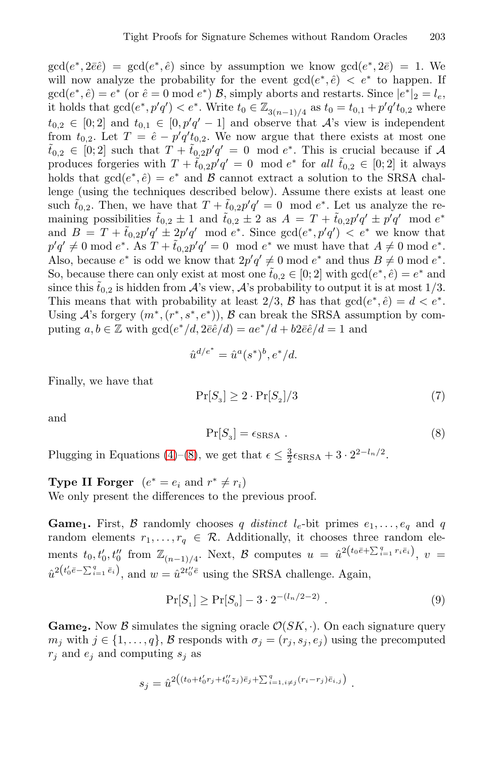$gcd(e^*, 2\bar{e}\hat{e}) = gcd(e^*, \hat{e})$  since by assumption we know  $gcd(e^*, 2\bar{e}) = 1$ . We will now analyze the probability for the event  $gcd(e^*, e) < e^*$  to happen. If  $gcd(e^*, \hat{e}) = e^*$  (or  $\hat{e} = 0 \mod e^*$ )  $\mathcal{B}$ , simply aborts and restarts. Since  $|e^*|_2 = l_e$ , it holds that  $gcd(e^*, p'q') < e^*$ . Write  $t_0 \in \mathbb{Z}_{3(n-1)/4}$  as  $t_0 = t_{0,1} + p'q't_{0,2}$  where  $t_{0,2} \in [0;2]$  and  $t_{0,1} \in [0,p'q'-1]$  and observe that  $\mathcal{A}$ 's view is independent from  $t_{0,2}$ . Let  $T = \hat{e} - p'q't_{0,2}$ . We now argue that there exists at most one  $\tilde{t}_{0,2} \in [0,2]$  such that  $T + \tilde{t}_{0,2}p'q' = 0 \mod e^*$ . This is crucial because if A produces forgeries with  $T + \tilde{t}_{0,2}p'q' = 0 \mod e^*$  for all  $\tilde{t}_{0,2} \in [0,2]$  it always holds that  $gcd(e^*, \hat{e}) = e^*$  and B cannot extract a solution to the SRSA challenge (using the techniques described below). Assume there exists at least one such  $\tilde{t}_{0,2}$ . Then, we have that  $T + \tilde{t}_{0,2}p'q' = 0 \mod e^*$ . Let us analyze the remaining possibilities  $\tilde{t}_{0,2} \pm 1$  and  $\tilde{t}_{0,2} \pm 2$  as  $A = T + \tilde{t}_{0,2} p' q' \pm p' q'$  mod  $e^*$ and  $B = T + \tilde{t}_{0,2}p'q' \pm 2p'q' \mod e^*$ . Since  $gcd(e^*, p'q') < e^*$  we know that  $p'q' \neq 0 \mod e^*$ . As  $T + \tilde{t}_{0,2}p'q' = 0 \mod e^*$  we must have that  $A \neq 0 \mod e^*$ . Also, because  $e^*$  is odd we know that  $2p'q' \neq 0 \mod e^*$  and thus  $B \neq 0 \mod e^*$ . So, because there can only exist at most one  $\tilde{t}_{0,2} \in [0,2]$  with  $gcd(e^*, \hat{e}) = e^*$  and since this  $\tilde{t}_{0,2}$  is hidden from  $\mathcal{A}$ 's view,  $\mathcal{A}$ 's probability to output it is at most 1/3. This means that with probability at least 2/3, B has that  $gcd(e^*, \hat{e}) = d < e^*$ . Using A's forgery  $(m^*, (r^*, s^*, e^*)),$  B can break the SRSA assumption by computing  $a, b \in \mathbb{Z}$  with  $gcd(e^*/d, 2\bar{e}\hat{e}/d) = ae^*/d + b2\bar{e}\hat{e}/d = 1$  and

$$
\hat{u}^{d/e^*} = \hat{u}^a(s^*)^b, e^*/d.
$$

Finally, we have that

$$
\Pr[S_3] \ge 2 \cdot \Pr[S_2] / 3 \tag{7}
$$

and

<span id="page-14-0"></span>
$$
\Pr[S_3] = \epsilon_{\text{SRSA}} . \tag{8}
$$

Plugging in Equations (4)–(8), we get that  $\epsilon \leq \frac{3}{2} \epsilon_{\text{SRSA}} + 3 \cdot 2^{2-l_n/2}$ .

**Type II Forger**  $(e^* = e_i \text{ and } r^* \neq r_i)$ We only present the differences to the previous proof.

**Game**<sub>1</sub>**.** First, B randomly chooses q distinct  $l_e$ -bit primes  $e_1, \ldots, e_q$  and q random elements  $r_1, \ldots, r_q \in \mathcal{R}$ . Additionally, it chooses three random elements  $t_0, t'_0, t''_0$  from  $\mathbb{Z}_{(n-1)/4}$ . Next,  $\mathcal{B}$  computes  $u = \hat{u}^2(t_0\bar{e}+\sum_{i=1}^q r_i\bar{e}_i), v =$  $\hat{u}^{2(t_0'\bar{e}-\sum_{i=1}^q\bar{e}_i)}$ , and  $w=\hat{u}^{2t_0'\bar{e}}$  using the SRSA challenge. Again,

$$
\Pr[S_1] \ge \Pr[S_0] - 3 \cdot 2^{-(l_n/2 - 2)} . \tag{9}
$$

**Game<sub>2</sub>**. Now B simulates the signing oracle  $\mathcal{O}(SK, \cdot)$ . On each signature query  $m_j$  with  $j \in \{1, \ldots, q\}$ , B responds with  $\sigma_j = (r_j, s_j, e_j)$  using the precomputed  $r_i$  and  $e_j$  and computing  $s_j$  as

$$
s_j = \hat{u}^{2((t_0 + t'_0 r_j + t''_0 z_j)\bar{e}_j + \sum_{i=1, i \neq j}^q (r_i - r_j)\bar{e}_{i,j})}.
$$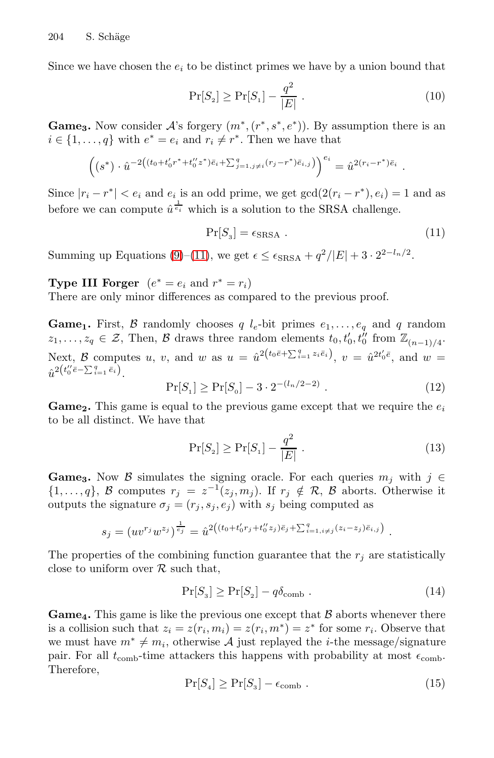Since we have chosen the  $e_i$  to be distinct primes we have by a union bound that

<span id="page-15-0"></span>
$$
\Pr[S_2] \ge \Pr[S_1] - \frac{q^2}{|E|} \,. \tag{10}
$$

**Game<sub>3</sub>**. Now consider  $A$ 's forgery  $(m^*, (r^*, s^*, e^*))$ . By assumption there is an  $i \in \{1, \ldots, q\}$  with  $e^* = e_i$  and  $r_i \neq r^*$ . Then we have that

$$
\left( (s^*) \cdot \hat{u}^{-2((t_0+t'_0r^*+t''_0z^*)\bar{e}_i+\sum_{j=1,j\neq i}^q (r_j-r^*)\bar{e}_{i,j})} \right)^{e_i} = \hat{u}^{2(r_i-r^*)\bar{e}_i}.
$$

Since  $|r_i - r^*| < e_i$  and  $e_i$  is an odd prime, we get  $gcd(2(r_i - r^*), e_i) = 1$  and as before we can compute  $\hat{u}^{\frac{1}{e_i}}$  which is a solution to the SRSA challenge.

$$
\Pr[S_3] = \epsilon_{\text{SRSA}} \tag{11}
$$

Summing up Equations (9)–(11), we get  $\epsilon \leq \epsilon_{\text{SRSA}} + q^2/|E| + 3 \cdot 2^{2-l_n/2}$ .

**Type III Forger**  $(e^* = e_i \text{ and } r^* = r_i)$ 

There are only minor differences as compared to the previous proof.

**Game<sub>1</sub>**. First, B randomly chooses q  $l_e$ -bit primes  $e_1, \ldots, e_q$  and q random  $z_1, \ldots, z_q \in \mathcal{Z}$ , Then,  $\mathcal{B}$  draws three random elements  $t_0, t'_0, t''_0$  from  $\mathbb{Z}_{(n-1)/4}$ . Next, B computes u, v, and w as  $u = \hat{u}^{2(t_0\bar{e} + \sum_{i=1}^q z_i\bar{e}_i)}$ ,  $v = \hat{u}^{2t'_0\bar{e}},$  and  $w =$  $\hat{u}^{2\left(t_0''\bar{e}-\sum_{i=1}^q\bar{e}_i\right)}$ .

$$
\Pr[S_1] \ge \Pr[S_0] - 3 \cdot 2^{-(l_n/2 - 2)} . \tag{12}
$$

**Game**<sub>2</sub>. This game is equal to the previous game except that we require the  $e_i$ to be all distinct. We have that

$$
\Pr[S_2] \ge \Pr[S_1] - \frac{q^2}{|E|} \,. \tag{13}
$$

**Game<sub>3</sub>**. Now B simulates the signing oracle. For each queries  $m_j$  with  $j \in$  $\{1,\ldots,q\},\; \mathcal{B}$  computes  $r_j = z^{-1}(z_j,m_j).$  If  $r_j \notin \mathcal{R},\; \mathcal{B}$  aborts. Otherwise it outputs the signature  $\sigma_i = (r_i, s_i, e_i)$  with  $s_i$  being computed as

$$
s_j = (uv^{r_j}w^{z_j})^{\frac{1}{e_j}} = \hat{u}^{2((t_0+t'_0r_j+t''_0z_j)\bar{e}_j + \sum_{i=1, i \neq j}^q (z_i-z_j)\bar{e}_{i,j})}.
$$

The properties of the combining function guarantee that the  $r_i$  are statistically close to uniform over  $R$  such that,

$$
\Pr[S_3] \ge \Pr[S_2] - q\delta_{\rm comb} . \tag{14}
$$

**Game**<sup>4</sup>**.** This game is like the previous one except that  $\beta$  aborts whenever there is a collision such that  $z_i = z(r_i, m_i) = z(r_i, m^*) = z^*$  for some  $r_i$ . Observe that we must have  $m^* \neq m_i$ , otherwise A just replayed the *i*-the message/signature pair. For all  $t_{\text{comb}}$ -time attackers this happens with probability at most  $\epsilon_{\text{comb}}$ . Therefore,

$$
\Pr[S_4] \ge \Pr[S_3] - \epsilon_{\rm comb} \ . \tag{15}
$$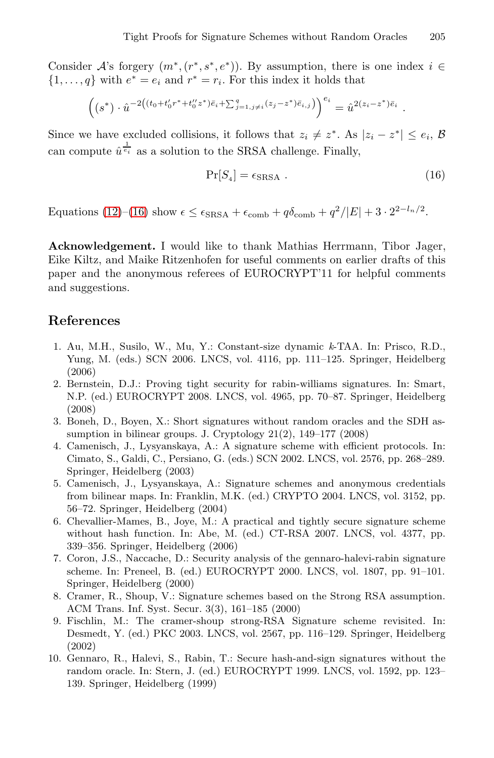Consider A's forgery  $(m^*, (r^*, s^*, e^*))$ . By assumption, there is one index  $i \in$  $\{1,\ldots,q\}$  with  $e^* = e_i$  and  $r^* = r_i$ . For this index it holds that

$$
\left( (s^*) \cdot \hat{u}^{-2((t_0+t'_0r^*+t''_0z^*)\bar{e}_i+\sum_{j=1,j\neq i}(z_j-z^*)\bar{e}_{i,j})} \right)^{e_i} = \hat{u}^{2(z_i-z^*)\bar{e}_i}.
$$

Since we have excluded collisions, it follows that  $z_i \neq z^*$ . As  $|z_i - z^*| \leq e_i$ , B can compute  $\hat{u}^{\frac{1}{e_i}}$  as a solution to the SRSA challenge. Finally,

$$
\Pr[S_4] = \epsilon_{\text{SRSA}} \tag{16}
$$

Equations (12)–(16) show  $\epsilon \leq \epsilon_{\text{SRSA}} + \epsilon_{\text{comb}} + q\delta_{\text{comb}} + q^2/|E| + 3 \cdot 2^{2-l_n/2}$ .

<span id="page-16-6"></span>**Acknowledgement.** I would like to thank Mathias Herrmann, Tibor Jager, Eike Kiltz, and Maike Ritzenhofen for useful comments on earlier drafts of this paper and the anonymous referees of EUROCRYPT'11 for helpful comments and suggestions.

## <span id="page-16-5"></span><span id="page-16-1"></span>**References**

- 1. Au, M.H., Susilo, W., Mu, Y.: Constant-size dynamic *k*-TAA. In: Prisco, R.D., Yung, M. (eds.) SCN 2006. LNCS, vol. 4116, pp. 111–125. Springer, Heidelberg (2006)
- <span id="page-16-7"></span>2. Bernstein, D.J.: Proving tight security for rabin-williams signatures. In: Smart, N.P. (ed.) EUROCRYPT 2008. LNCS, vol. 4965, pp. 70–87. Springer, Heidelberg (2008)
- 3. Boneh, D., Boyen, X.: Short signatures without random oracles and the SDH assumption in bilinear groups. J. Cryptology 21(2), 149–177 (2008)
- <span id="page-16-4"></span>4. Camenisch, J., Lysyanskaya, A.: A signature scheme with efficient protocols. In: Cimato, S., Galdi, C., Persiano, G. (eds.) SCN 2002. LNCS, vol. 2576, pp. 268–289. Springer, Heidelberg (2003)
- <span id="page-16-0"></span>5. Camenisch, J., Lysyanskaya, A.: Signature schemes and anonymous credentials from bilinear maps. In: Franklin, M.K. (ed.) CRYPTO 2004. LNCS, vol. 3152, pp. 56–72. Springer, Heidelberg (2004)
- <span id="page-16-2"></span>6. Chevallier-Mames, B., Joye, M.: A practical and tightly secure signature scheme without hash function. In: Abe, M. (ed.) CT-RSA 2007. LNCS, vol. 4377, pp. 339–356. Springer, Heidelberg (2006)
- <span id="page-16-3"></span>7. Coron, J.S., Naccache, D.: Security analysis of the gennaro-halevi-rabin signature scheme. In: Preneel, B. (ed.) EUROCRYPT 2000. LNCS, vol. 1807, pp. 91–101. Springer, Heidelberg (2000)
- 8. Cramer, R., Shoup, V.: Signature schemes based on the Strong RSA assumption. ACM Trans. Inf. Syst. Secur. 3(3), 161–185 (2000)
- 9. Fischlin, M.: The cramer-shoup strong-RSA Signature scheme revisited. In: Desmedt, Y. (ed.) PKC 2003. LNCS, vol. 2567, pp. 116–129. Springer, Heidelberg (2002)
- 10. Gennaro, R., Halevi, S., Rabin, T.: Secure hash-and-sign signatures without the random oracle. In: Stern, J. (ed.) EUROCRYPT 1999. LNCS, vol. 1592, pp. 123– 139. Springer, Heidelberg (1999)